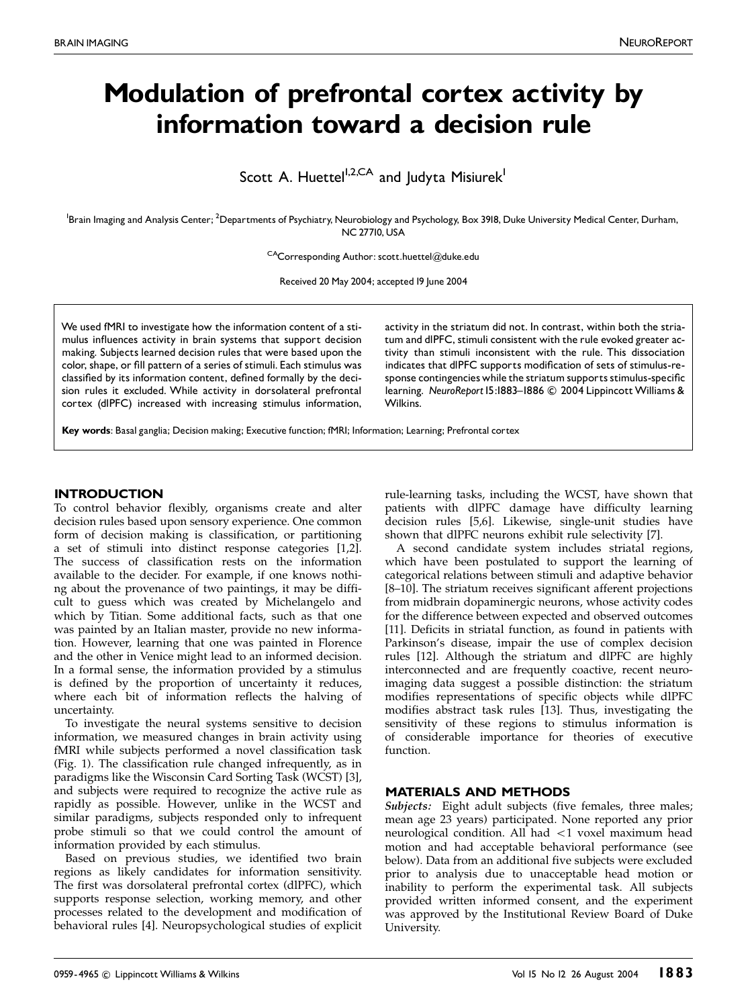# Modulation of prefrontal cortex activity by information toward a decision rule

Scott A. Huettel<sup>1,2,CA</sup> and Judyta Misiurek<sup>1</sup>

<sup>1</sup>Brain Imaging and Analysis Center; <sup>2</sup>Departments of Psychiatry, Neurobiology and Psychology, Box 3918, Duke University Medical Center, Durham, **NC 27710, USA** 

<sup>CA</sup>Corresponding Author: scott.huettel@duke.edu

Received 20 May 2004; accepted 19 June 2004

We used fMRI to investigate how the information content of a stimulus influences activity in brain systems that support decision making. Subjects learned decision rules that were based upon the color, shape, or fill pattern of a series of stimuli. Each stimulus was classified by its information content, defined formally by the decision rules it excluded. While activity in dorsolateral prefrontal cortex (dlPFC) increased with increasing stimulus information,

activity in the striatum did not. In contrast, within both the striatum and dlPFC, stimuli consistent with the rule evoked greater activity than stimuli inconsistent with the rule. This dissociation indicates that dlPFC supports modification of sets of stimulus-response contingencies while the striatum supports stimulus-specific learning. NeuroReport 15:1883-1886 © 2004 Lippincott Williams & **Wilkins** 

Key words: Basal ganglia; Decision making; Executive function; fMRI; Information; Learning; Prefrontal cortex

## **INTRODUCTION**

To control behavior flexibly, organisms create and alter decision rules based upon sensory experience. One common form of decision making is classification, or partitioning a set of stimuli into distinct response categories [1,2]. The success of classification rests on the information available to the decider. For example, if one knows nothing about the provenance of two paintings, it may be difficult to guess which was created by Michelangelo and which by Titian. Some additional facts, such as that one was painted by an Italian master, provide no new information. However, learning that one was painted in Florence and the other in Venice might lead to an informed decision. In a formal sense, the information provided by a stimulus is defined by the proportion of uncertainty it reduces, where each bit of information reflects the halving of uncertainty.

To investigate the neural systems sensitive to decision information, we measured changes in brain activity using fMRI while subjects performed a novel classification task (Fig. 1). The classification rule changed infrequently, as in paradigms like the Wisconsin Card Sorting Task (WCST) [3], and subjects were required to recognize the active rule as rapidly as possible. However, unlike in the WCST and similar paradigms, subjects responded only to infrequent probe stimuli so that we could control the amount of information provided by each stimulus.

Based on previous studies, we identified two brain regions as likely candidates for information sensitivity. The first was dorsolateral prefrontal cortex (dlPFC), which supports response selection, working memory, and other processes related to the development and modification of behavioral rules [4]. Neuropsychological studies of explicit

rule-learning tasks, including the WCST, have shown that patients with dlPFC damage have difficulty learning decision rules [5,6]. Likewise, single-unit studies have shown that dlPFC neurons exhibit rule selectivity [7].

A second candidate system includes striatal regions, which have been postulated to support the learning of categorical relations between stimuli and adaptive behavior [8–10]. The striatum receives significant afferent projections from midbrain dopaminergic neurons, whose activity codes for the difference between expected and observed outcomes [11]. Deficits in striatal function, as found in patients with Parkinson's disease, impair the use of complex decision rules [12]. Although the striatum and dlPFC are highly interconnected and are frequently coactive, recent neuroimaging data suggest a possible distinction: the striatum modifies representations of specific objects while dlPFC modifies abstract task rules [13]. Thus, investigating the sensitivity of these regions to stimulus information is of considerable importance for theories of executive function.

## MATERIALS AND METHODS

Subjects: Eight adult subjects (five females, three males; mean age 23 years) participated. None reported any prior neurological condition. All had  $<$ 1 voxel maximum head motion and had acceptable behavioral performance (see below). Data from an additional five subjects were excluded prior to analysis due to unacceptable head motion or inability to perform the experimental task. All subjects provided written informed consent, and the experiment was approved by the Institutional Review Board of Duke University.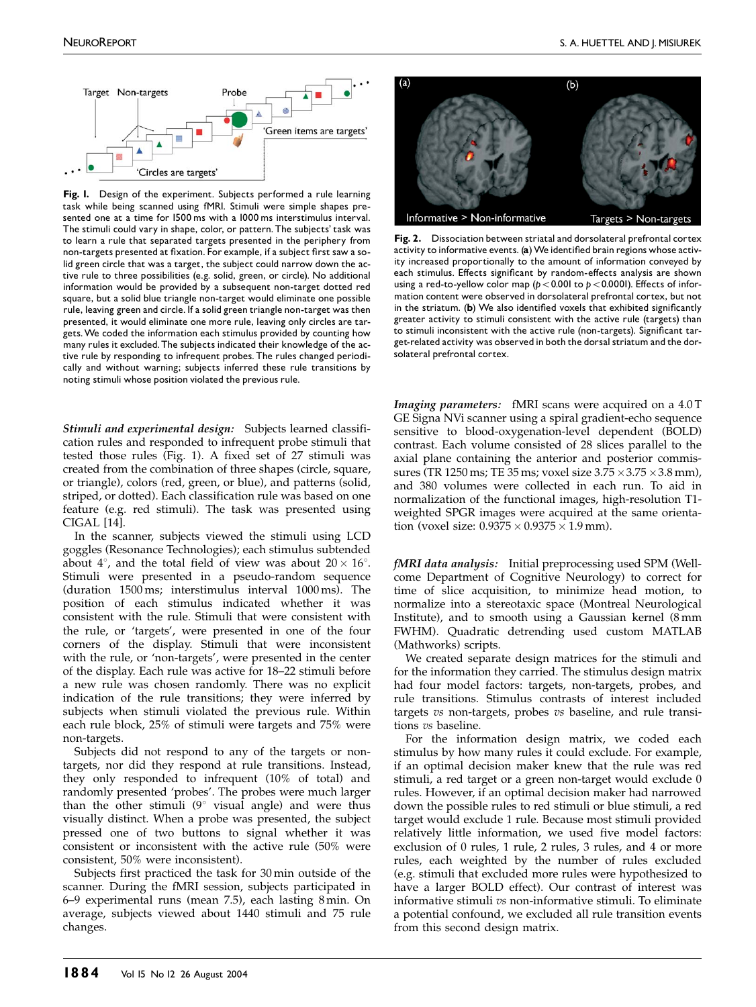

Fig. I. Design of the experiment. Subjects performed a rule learning task while being scanned using fMRI. Stimuli were simple shapes presented one at a time for 1500 ms with a 1000 ms interstimulus interval. The stimuli could vary in shape, color, or pattern. The subjects' task was to learn a rule that separated targets presented in the periphery from non-targets presented at fixation. For example, if a subject first saw a solid green circle that was a target, the subject could narrow down the active rule to three possibilities (e.g. solid, green, or circle). No additional information would be provided by a subsequent non-target dotted red square, but a solid blue triangle non-target would eliminate one possible rule, leaving green and circle. If a solid green triangle non-target was then presented, it would eliminate one more rule, leaving only circles are targets.We coded the information each stimulus provided by counting how many rules it excluded.The subjects indicated their knowledge of the active rule by responding to infrequent probes. The rules changed periodically and without warning; subjects inferred these rule transitions by noting stimuli whose position violated the previous rule.

Stimuli and experimental design: Subjects learned classification rules and responded to infrequent probe stimuli that tested those rules (Fig. 1). A fixed set of 27 stimuli was created from the combination of three shapes (circle, square, or triangle), colors (red, green, or blue), and patterns (solid, striped, or dotted). Each classification rule was based on one feature (e.g. red stimuli). The task was presented using CIGAL [14].

In the scanner, subjects viewed the stimuli using LCD goggles (Resonance Technologies); each stimulus subtended about  $4^{\circ}$ , and the total field of view was about  $20 \times 16^{\circ}$ . Stimuli were presented in a pseudo-random sequence (duration 1500 ms; interstimulus interval 1000 ms). The position of each stimulus indicated whether it was consistent with the rule. Stimuli that were consistent with the rule, or 'targets', were presented in one of the four corners of the display. Stimuli that were inconsistent with the rule, or 'non-targets', were presented in the center of the display. Each rule was active for 18–22 stimuli before a new rule was chosen randomly. There was no explicit indication of the rule transitions; they were inferred by subjects when stimuli violated the previous rule. Within each rule block, 25% of stimuli were targets and 75% were non-targets.

Subjects did not respond to any of the targets or nontargets, nor did they respond at rule transitions. Instead, they only responded to infrequent (10% of total) and randomly presented 'probes'. The probes were much larger than the other stimuli  $(9^{\circ}$  visual angle) and were thus visually distinct. When a probe was presented, the subject pressed one of two buttons to signal whether it was consistent or inconsistent with the active rule (50% were consistent, 50% were inconsistent).

Subjects first practiced the task for 30 min outside of the scanner. During the fMRI session, subjects participated in 6–9 experimental runs (mean 7.5), each lasting 8 min. On average, subjects viewed about 1440 stimuli and 75 rule changes.



Fig. 2. Dissociation between striatal and dorsolateral prefrontal cortex activity to informative events. (a) We identified brain regions whose activity increased proportionally to the amount of information conveyed by each stimulus. Effects significant by random-effects analysis are shown using a red-to-yellow color map ( $p < 0.001$  to  $p < 0.0001$ ). Effects of information content were observed in dorsolateral prefrontal cortex, but not in the striatum. (b) We also identified voxels that exhibited significantly greater activity to stimuli consistent with the active rule (targets) than to stimuli inconsistent with the active rule (non-targets). Significant target-related activity was observedin both the dorsal striatum and the dorsolateral prefrontal cortex.

Imaging parameters: fMRI scans were acquired on a 4.0 T GE Signa NVi scanner using a spiral gradient-echo sequence sensitive to blood-oxygenation-level dependent (BOLD) contrast. Each volume consisted of 28 slices parallel to the axial plane containing the anterior and posterior commissures (TR 1250 ms; TE 35 ms; voxel size  $3.75 \times 3.75 \times 3.8$  mm), and 380 volumes were collected in each run. To aid in normalization of the functional images, high-resolution T1 weighted SPGR images were acquired at the same orientation (voxel size:  $0.9375 \times 0.9375 \times 1.9$  mm).

fMRI data analysis: Initial preprocessing used SPM (Wellcome Department of Cognitive Neurology) to correct for time of slice acquisition, to minimize head motion, to normalize into a stereotaxic space (Montreal Neurological Institute), and to smooth using a Gaussian kernel (8 mm FWHM). Quadratic detrending used custom MATLAB (Mathworks) scripts.

We created separate design matrices for the stimuli and for the information they carried. The stimulus design matrix had four model factors: targets, non-targets, probes, and rule transitions. Stimulus contrasts of interest included targets vs non-targets, probes vs baseline, and rule transitions vs baseline.

For the information design matrix, we coded each stimulus by how many rules it could exclude. For example, if an optimal decision maker knew that the rule was red stimuli, a red target or a green non-target would exclude 0 rules. However, if an optimal decision maker had narrowed down the possible rules to red stimuli or blue stimuli, a red target would exclude 1 rule. Because most stimuli provided relatively little information, we used five model factors: exclusion of 0 rules, 1 rule, 2 rules, 3 rules, and 4 or more rules, each weighted by the number of rules excluded (e.g. stimuli that excluded more rules were hypothesized to have a larger BOLD effect). Our contrast of interest was informative stimuli vs non-informative stimuli. To eliminate a potential confound, we excluded all rule transition events from this second design matrix.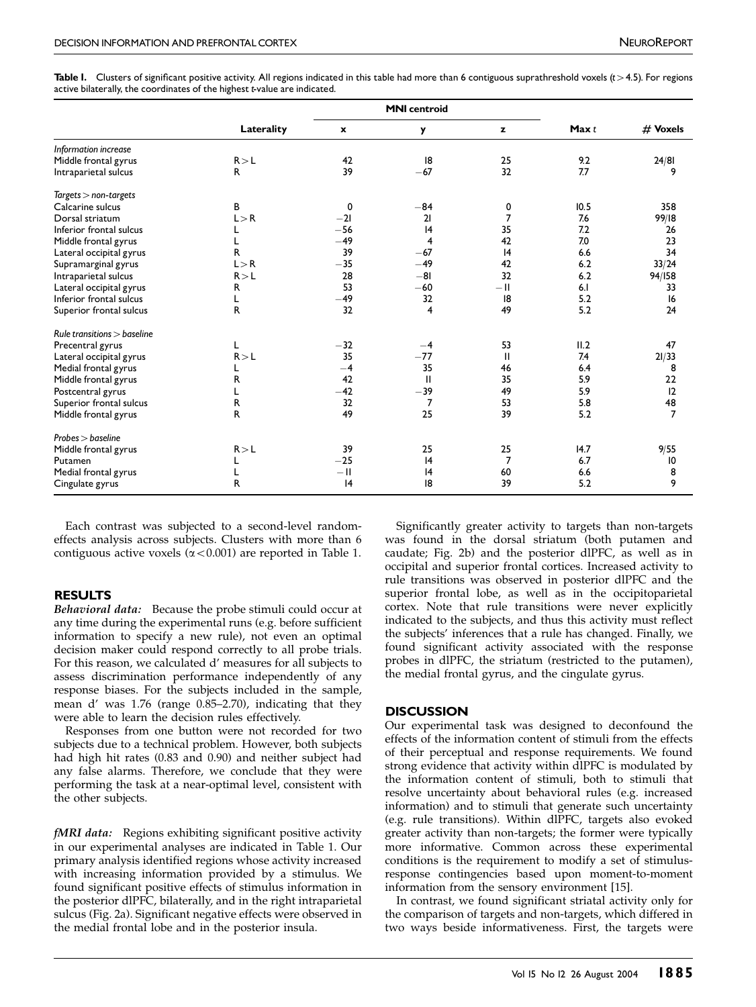Table I. Clusters of significant positive activity. All regions indicated in this table had more than 6 contiguous suprathreshold voxels (t>4.5). For regions active bilaterally, the coordinates of the highest t-value are indicated.

|                               | <b>MNI</b> centroid |              |                |                |         |                |
|-------------------------------|---------------------|--------------|----------------|----------------|---------|----------------|
|                               | Laterality          | $\mathbf{x}$ | y              | z              | Max $t$ | # Voxels       |
| Information increase          |                     |              |                |                |         |                |
| Middle frontal gyrus          | R > L               | 42           | 18             | 25             | 9.2     | 24/81          |
| Intraparietal sulcus          | R                   | 39           | $-67$          | 32             | 7.7     | 9              |
| $Targest$ > non-targets       |                     |              |                |                |         |                |
| Calcarine sulcus              | В                   | 0            | $-84$          | 0              | 10.5    | 358            |
| Dorsal striatum               | L > R               | $-21$        | 21             | 7              | 7.6     | 99/18          |
| Inferior frontal sulcus       |                     | $-56$        | 4              | 35             | 7.2     | 26             |
| Middle frontal gyrus          |                     | $-49$        | $\overline{4}$ | 42             | 7.0     | 23             |
| Lateral occipital gyrus       | R                   | 39           | $-67$          | 4              | 6.6     | 34             |
| Supramarginal gyrus           | L > R               | $-35$        | $-49$          | 42             | 6.2     | 33/24          |
| Intraparietal sulcus          | R > L               | 28           | $-81$          | 32             | 6.2     | 94/158         |
| Lateral occipital gyrus       | R.                  | 53           | $-60$          | $-11$          | 6.1     | 33             |
| Inferior frontal sulcus       |                     | $-49$        | 32             | 8              | 5.2     | 16             |
| Superior frontal sulcus       | R.                  | 32           | $\overline{4}$ | 49             | 5.2     | 24             |
| Rule transitions $>$ baseline |                     |              |                |                |         |                |
| Precentral gyrus              | L                   | $-32$        | $-4$           | 53             | II.2    | 47             |
| Lateral occipital gyrus       | R > L               | 35           | $-77$          | Ш              | 7.4     | 21/33          |
| Medial frontal gyrus          |                     | $-4$         | 35             | 46             | 6.4     | 8              |
| Middle frontal gyrus          | R                   | 42           | п              | 35             | 5.9     | 22             |
| Postcentral gyrus             |                     | $-42$        | $-39$          | 49             | 5.9     | 12             |
| Superior frontal sulcus       | R.                  | 32           | 7              | 53             | 5.8     | 48             |
| Middle frontal gyrus          | R                   | 49           | 25             | 39             | 5.2     | $\overline{7}$ |
| Probes > baseline             |                     |              |                |                |         |                |
| Middle frontal gyrus          | R > L               | 39           | 25             | 25             | 14.7    | 9/55           |
| Putamen                       |                     | $-25$        | 4              | $\overline{7}$ | 6.7     | 10             |
| Medial frontal gyrus          |                     | $-11$        | 4              | 60             | 6.6     | 8              |
| Cingulate gyrus               | R                   | 4            | 18             | 39             | 5.2     | 9              |

Each contrast was subjected to a second-level randomeffects analysis across subjects. Clusters with more than 6 contiguous active voxels ( $\alpha$ <0.001) are reported in Table 1.

## RESULTS

Behavioral data: Because the probe stimuli could occur at any time during the experimental runs (e.g. before sufficient information to specify a new rule), not even an optimal decision maker could respond correctly to all probe trials. For this reason, we calculated d' measures for all subjects to assess discrimination performance independently of any response biases. For the subjects included in the sample, mean d' was 1.76 (range 0.85–2.70), indicating that they were able to learn the decision rules effectively.

Responses from one button were not recorded for two subjects due to a technical problem. However, both subjects had high hit rates (0.83 and 0.90) and neither subject had any false alarms. Therefore, we conclude that they were performing the task at a near-optimal level, consistent with the other subjects.

fMRI data: Regions exhibiting significant positive activity in our experimental analyses are indicated in Table 1. Our primary analysis identified regions whose activity increased with increasing information provided by a stimulus. We found significant positive effects of stimulus information in the posterior dlPFC, bilaterally, and in the right intraparietal sulcus (Fig. 2a). Significant negative effects were observed in the medial frontal lobe and in the posterior insula.

Significantly greater activity to targets than non-targets was found in the dorsal striatum (both putamen and caudate; Fig. 2b) and the posterior dlPFC, as well as in occipital and superior frontal cortices. Increased activity to rule transitions was observed in posterior dlPFC and the superior frontal lobe, as well as in the occipitoparietal cortex. Note that rule transitions were never explicitly indicated to the subjects, and thus this activity must reflect the subjects' inferences that a rule has changed. Finally, we found significant activity associated with the response probes in dlPFC, the striatum (restricted to the putamen), the medial frontal gyrus, and the cingulate gyrus.

#### **DISCUSSION**

Our experimental task was designed to deconfound the effects of the information content of stimuli from the effects of their perceptual and response requirements. We found strong evidence that activity within dlPFC is modulated by the information content of stimuli, both to stimuli that resolve uncertainty about behavioral rules (e.g. increased information) and to stimuli that generate such uncertainty (e.g. rule transitions). Within dlPFC, targets also evoked greater activity than non-targets; the former were typically more informative. Common across these experimental conditions is the requirement to modify a set of stimulusresponse contingencies based upon moment-to-moment information from the sensory environment [15].

In contrast, we found significant striatal activity only for the comparison of targets and non-targets, which differed in two ways beside informativeness. First, the targets were